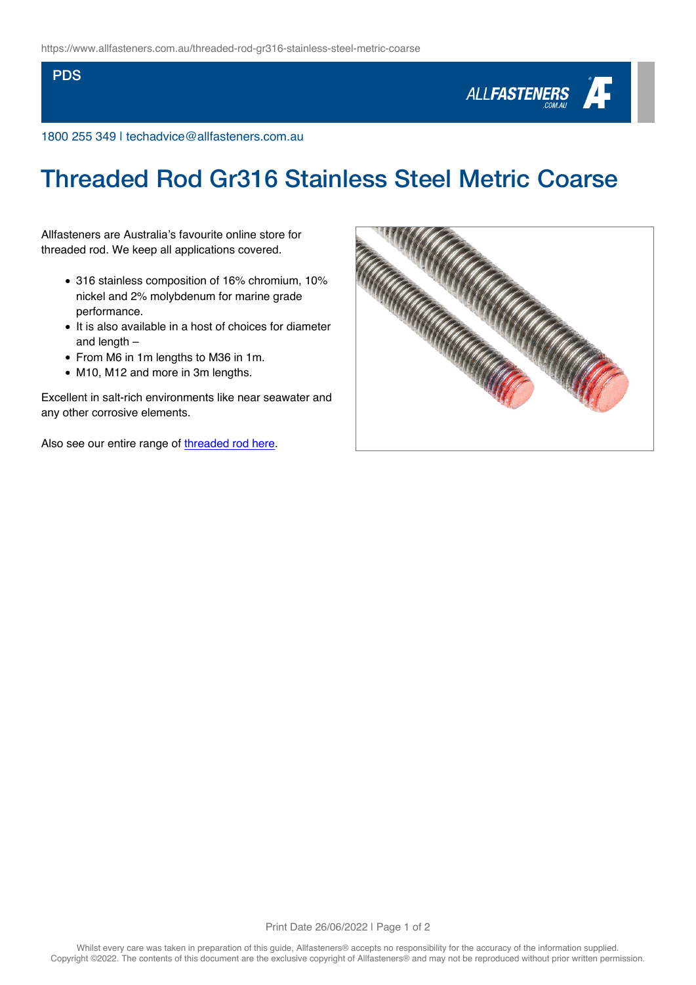## **PDS**



1800 255 349 | techadvice@allfasteners.com.au

## Threaded Rod Gr316 Stainless Steel Metric Coarse

Allfasteners are Australia's favourite online store for threaded rod. We keep all applications covered.

- 316 stainless composition of 16% chromium, 10% nickel and 2% molybdenum for marine grade performance.
- It is also available in a host of choices for diameter and length –
- From M6 in 1m lengths to M36 in 1m.
- M10, M12 and more in 3m lengths.

Excellent in salt-rich environments like near seawater and any other corrosive elements.

Also see our entire range of [threaded rod here](https://www.allfasteners.com.au/products/threaded-fasteners/threaded-rod).